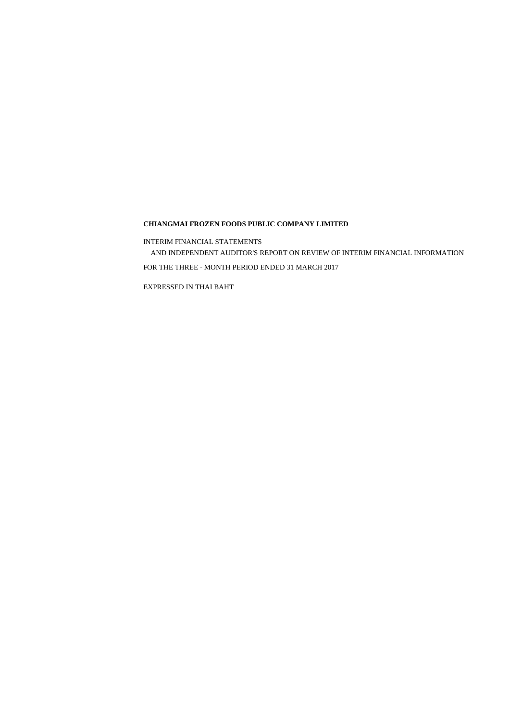#### **CHIANGMAI FROZEN FOODS PUBLIC COMPANY LIMITED**

FOR THE THREE - MONTH PERIOD ENDED 31 MARCH 2017

AND INDEPENDENT AUDITOR'S REPORT ON REVIEW OF INTERIM FINANCIAL INFORMATION

INTERIM FINANCIAL STATEMENTS

EXPRESSED IN THAI BAHT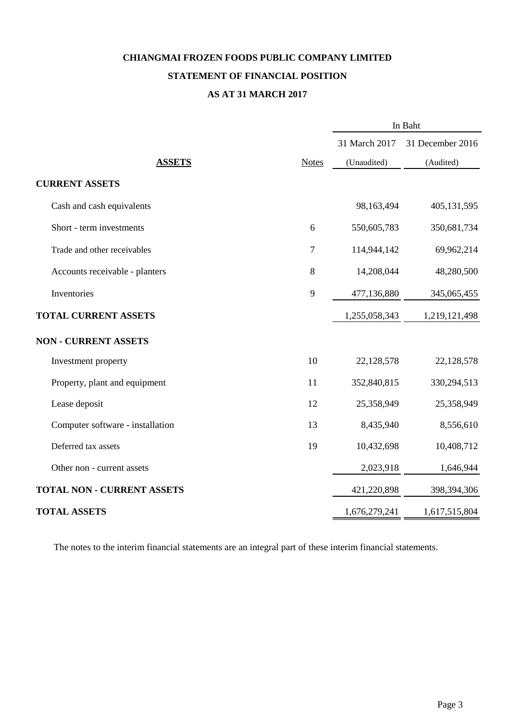# **CHIANGMAI FROZEN FOODS PUBLIC COMPANY LIMITED STATEMENT OF FINANCIAL POSITION**

### **AS AT 31 MARCH 2017**

|                                   |              | In Baht       |                  |  |
|-----------------------------------|--------------|---------------|------------------|--|
|                                   |              | 31 March 2017 | 31 December 2016 |  |
| <b>ASSETS</b>                     | <b>Notes</b> | (Unaudited)   | (Audited)        |  |
| <b>CURRENT ASSETS</b>             |              |               |                  |  |
| Cash and cash equivalents         |              | 98,163,494    | 405,131,595      |  |
| Short - term investments          | 6            | 550,605,783   | 350,681,734      |  |
| Trade and other receivables       | 7            | 114,944,142   | 69,962,214       |  |
| Accounts receivable - planters    | $8\,$        | 14,208,044    | 48,280,500       |  |
| Inventories                       | 9            | 477,136,880   | 345,065,455      |  |
| <b>TOTAL CURRENT ASSETS</b>       |              | 1,255,058,343 | 1,219,121,498    |  |
| <b>NON - CURRENT ASSETS</b>       |              |               |                  |  |
| Investment property               | 10           | 22,128,578    | 22,128,578       |  |
| Property, plant and equipment     | 11           | 352,840,815   | 330,294,513      |  |
| Lease deposit                     | 12           | 25,358,949    | 25,358,949       |  |
| Computer software - installation  | 13           | 8,435,940     | 8,556,610        |  |
| Deferred tax assets               | 19           | 10,432,698    | 10,408,712       |  |
| Other non - current assets        |              | 2,023,918     | 1,646,944        |  |
| <b>TOTAL NON - CURRENT ASSETS</b> |              | 421,220,898   | 398,394,306      |  |
| <b>TOTAL ASSETS</b>               |              | 1,676,279,241 | 1,617,515,804    |  |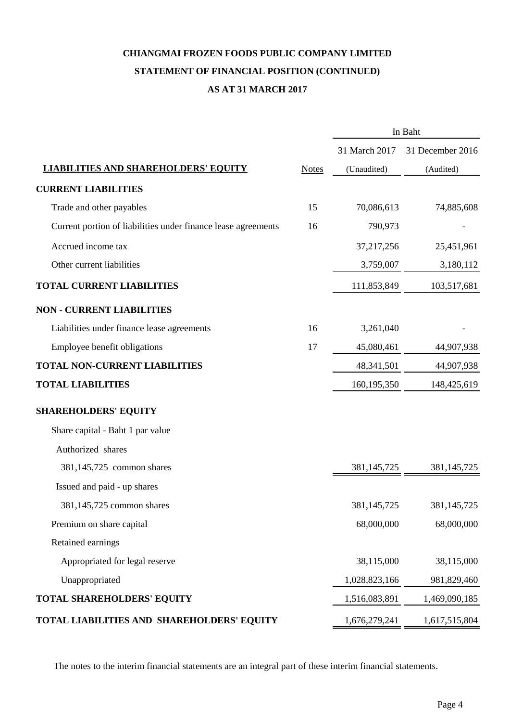### **AS AT 31 MARCH 2017 CHIANGMAI FROZEN FOODS PUBLIC COMPANY LIMITED STATEMENT OF FINANCIAL POSITION (CONTINUED)**

|                                                               |              | In Baht       |                  |  |
|---------------------------------------------------------------|--------------|---------------|------------------|--|
|                                                               |              | 31 March 2017 | 31 December 2016 |  |
| <b>LIABILITIES AND SHAREHOLDERS' EQUITY</b>                   | <b>Notes</b> | (Unaudited)   | (Audited)        |  |
| <b>CURRENT LIABILITIES</b>                                    |              |               |                  |  |
| Trade and other payables                                      | 15           | 70,086,613    | 74,885,608       |  |
| Current portion of liabilities under finance lease agreements | 16           | 790,973       |                  |  |
| Accrued income tax                                            |              | 37,217,256    | 25,451,961       |  |
| Other current liabilities                                     |              | 3,759,007     | 3,180,112        |  |
| <b>TOTAL CURRENT LIABILITIES</b>                              |              | 111,853,849   | 103,517,681      |  |
| <b>NON - CURRENT LIABILITIES</b>                              |              |               |                  |  |
| Liabilities under finance lease agreements                    | 16           | 3,261,040     |                  |  |
| Employee benefit obligations                                  | 17           | 45,080,461    | 44,907,938       |  |
| <b>TOTAL NON-CURRENT LIABILITIES</b>                          |              | 48, 341, 501  | 44,907,938       |  |
| <b>TOTAL LIABILITIES</b>                                      |              | 160, 195, 350 | 148,425,619      |  |
| <b>SHAREHOLDERS' EQUITY</b>                                   |              |               |                  |  |
| Share capital - Baht 1 par value                              |              |               |                  |  |
| Authorized shares                                             |              |               |                  |  |
| 381,145,725 common shares                                     |              | 381, 145, 725 | 381, 145, 725    |  |
| Issued and paid - up shares                                   |              |               |                  |  |
| 381,145,725 common shares                                     |              | 381, 145, 725 | 381,145,725      |  |
| Premium on share capital                                      |              | 68,000,000    | 68,000,000       |  |
| Retained earnings                                             |              |               |                  |  |
| Appropriated for legal reserve                                |              | 38,115,000    | 38,115,000       |  |
| Unappropriated                                                |              | 1,028,823,166 | 981,829,460      |  |
| TOTAL SHAREHOLDERS' EQUITY                                    |              | 1,516,083,891 | 1,469,090,185    |  |
| TOTAL LIABILITIES AND SHAREHOLDERS' EQUITY                    |              | 1,676,279,241 | 1,617,515,804    |  |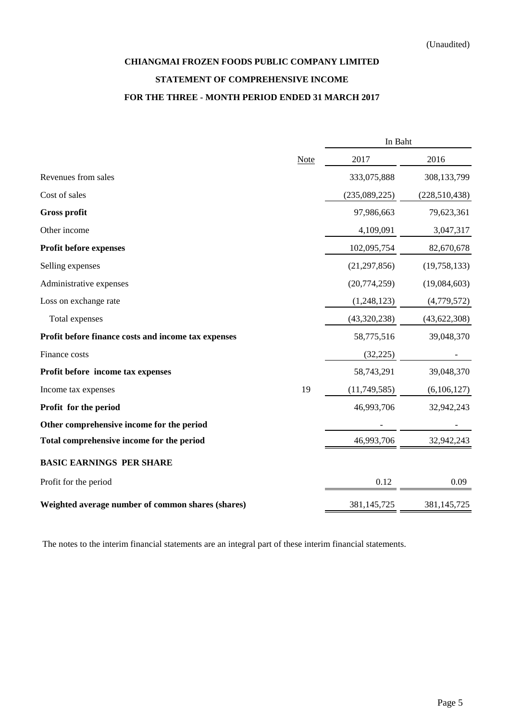## **CHIANGMAI FROZEN FOODS PUBLIC COMPANY LIMITED STATEMENT OF COMPREHENSIVE INCOME FOR THE THREE - MONTH PERIOD ENDED 31 MARCH 2017**

|                                                     |             | In Baht        |                 |  |
|-----------------------------------------------------|-------------|----------------|-----------------|--|
|                                                     | <b>Note</b> | 2017           | 2016            |  |
| Revenues from sales                                 |             | 333,075,888    | 308,133,799     |  |
| Cost of sales                                       |             | (235,089,225)  | (228, 510, 438) |  |
| <b>Gross profit</b>                                 |             | 97,986,663     | 79,623,361      |  |
| Other income                                        |             | 4,109,091      | 3,047,317       |  |
| Profit before expenses                              |             | 102,095,754    | 82,670,678      |  |
| Selling expenses                                    |             | (21, 297, 856) | (19,758,133)    |  |
| Administrative expenses                             |             | (20,774,259)   | (19,084,603)    |  |
| Loss on exchange rate                               |             | (1,248,123)    | (4,779,572)     |  |
| Total expenses                                      |             | (43,320,238)   | (43, 622, 308)  |  |
| Profit before finance costs and income tax expenses |             | 58,775,516     | 39,048,370      |  |
| Finance costs                                       |             | (32, 225)      |                 |  |
| Profit before income tax expenses                   |             | 58,743,291     | 39,048,370      |  |
| Income tax expenses                                 | 19          | (11,749,585)   | (6,106,127)     |  |
| Profit for the period                               |             | 46,993,706     | 32,942,243      |  |
| Other comprehensive income for the period           |             |                |                 |  |
| Total comprehensive income for the period           |             | 46,993,706     | 32,942,243      |  |
| <b>BASIC EARNINGS PER SHARE</b>                     |             |                |                 |  |
| Profit for the period                               |             | 0.12           | 0.09            |  |
| Weighted average number of common shares (shares)   |             | 381,145,725    | 381,145,725     |  |
|                                                     |             |                |                 |  |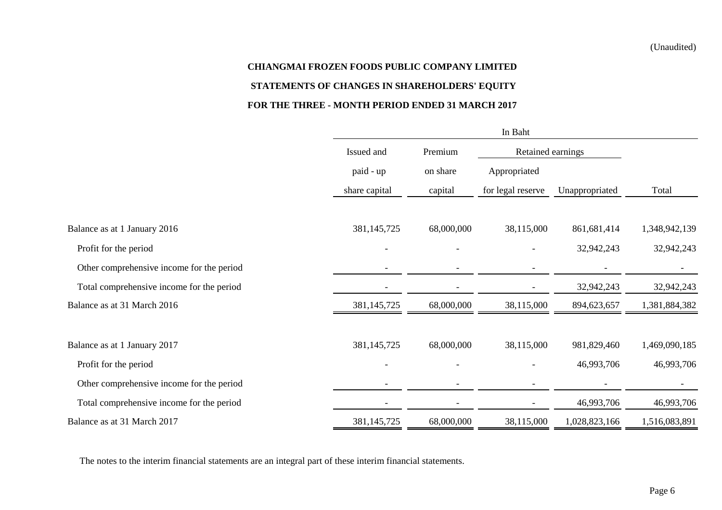## **CHIANGMAI FROZEN FOODS PUBLIC COMPANY LIMITED STATEMENTS OF CHANGES IN SHAREHOLDERS' EQUITY FOR THE THREE - MONTH PERIOD ENDED 31 MARCH 2017**

|                                           |               | In Baht    |                          |                |               |  |
|-------------------------------------------|---------------|------------|--------------------------|----------------|---------------|--|
|                                           | Issued and    | Premium    | Retained earnings        |                |               |  |
|                                           | paid - up     | on share   | Appropriated             |                |               |  |
|                                           | share capital | capital    | for legal reserve        | Unappropriated | Total         |  |
| Balance as at 1 January 2016              | 381, 145, 725 | 68,000,000 | 38,115,000               | 861,681,414    | 1,348,942,139 |  |
| Profit for the period                     |               |            |                          | 32,942,243     | 32,942,243    |  |
| Other comprehensive income for the period |               |            |                          |                |               |  |
| Total comprehensive income for the period |               |            |                          | 32,942,243     | 32,942,243    |  |
| Balance as at 31 March 2016               | 381, 145, 725 | 68,000,000 | 38,115,000               | 894,623,657    | 1,381,884,382 |  |
| Balance as at 1 January 2017              | 381, 145, 725 | 68,000,000 | 38,115,000               | 981,829,460    | 1,469,090,185 |  |
| Profit for the period                     |               |            |                          | 46,993,706     | 46,993,706    |  |
| Other comprehensive income for the period |               |            |                          |                |               |  |
| Total comprehensive income for the period |               |            | $\overline{\phantom{a}}$ | 46,993,706     | 46,993,706    |  |
| Balance as at 31 March 2017               | 381, 145, 725 | 68,000,000 | 38,115,000               | 1,028,823,166  | 1,516,083,891 |  |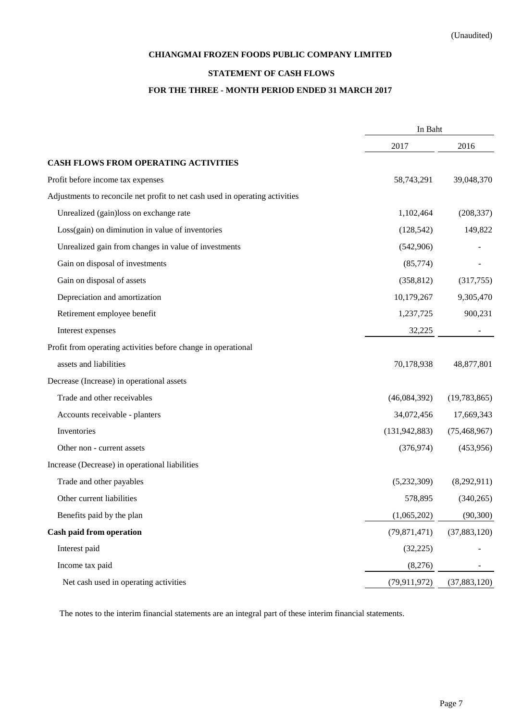#### **CHIANGMAI FROZEN FOODS PUBLIC COMPANY LIMITED**

#### **STATEMENT OF CASH FLOWS**

#### **FOR THE THREE - MONTH PERIOD ENDED 31 MARCH 2017**

|                                                                              | In Baht         |                |  |
|------------------------------------------------------------------------------|-----------------|----------------|--|
|                                                                              | 2017            | 2016           |  |
| <b>CASH FLOWS FROM OPERATING ACTIVITIES</b>                                  |                 |                |  |
| Profit before income tax expenses                                            | 58,743,291      | 39,048,370     |  |
| Adjustments to reconcile net profit to net cash used in operating activities |                 |                |  |
| Unrealized (gain)loss on exchange rate                                       | 1,102,464       | (208, 337)     |  |
| Loss(gain) on diminution in value of inventories                             | (128, 542)      | 149,822        |  |
| Unrealized gain from changes in value of investments                         | (542,906)       |                |  |
| Gain on disposal of investments                                              | (85,774)        |                |  |
| Gain on disposal of assets                                                   | (358, 812)      | (317,755)      |  |
| Depreciation and amortization                                                | 10,179,267      | 9,305,470      |  |
| Retirement employee benefit                                                  | 1,237,725       | 900,231        |  |
| Interest expenses                                                            | 32,225          |                |  |
| Profit from operating activities before change in operational                |                 |                |  |
| assets and liabilities                                                       | 70,178,938      | 48,877,801     |  |
| Decrease (Increase) in operational assets                                    |                 |                |  |
| Trade and other receivables                                                  | (46,084,392)    | (19,783,865)   |  |
| Accounts receivable - planters                                               | 34,072,456      | 17,669,343     |  |
| Inventories                                                                  | (131, 942, 883) | (75, 468, 967) |  |
| Other non - current assets                                                   | (376, 974)      | (453,956)      |  |
| Increase (Decrease) in operational liabilities                               |                 |                |  |
| Trade and other payables                                                     | (5,232,309)     | (8,292,911)    |  |
| Other current liabilities                                                    | 578,895         | (340, 265)     |  |
| Benefits paid by the plan                                                    | (1,065,202)     | (90, 300)      |  |
| Cash paid from operation                                                     | (79, 871, 471)  | (37, 883, 120) |  |
| Interest paid                                                                | (32, 225)       |                |  |
| Income tax paid                                                              | (8,276)         |                |  |
| Net cash used in operating activities                                        | (79, 911, 972)  | (37, 883, 120) |  |